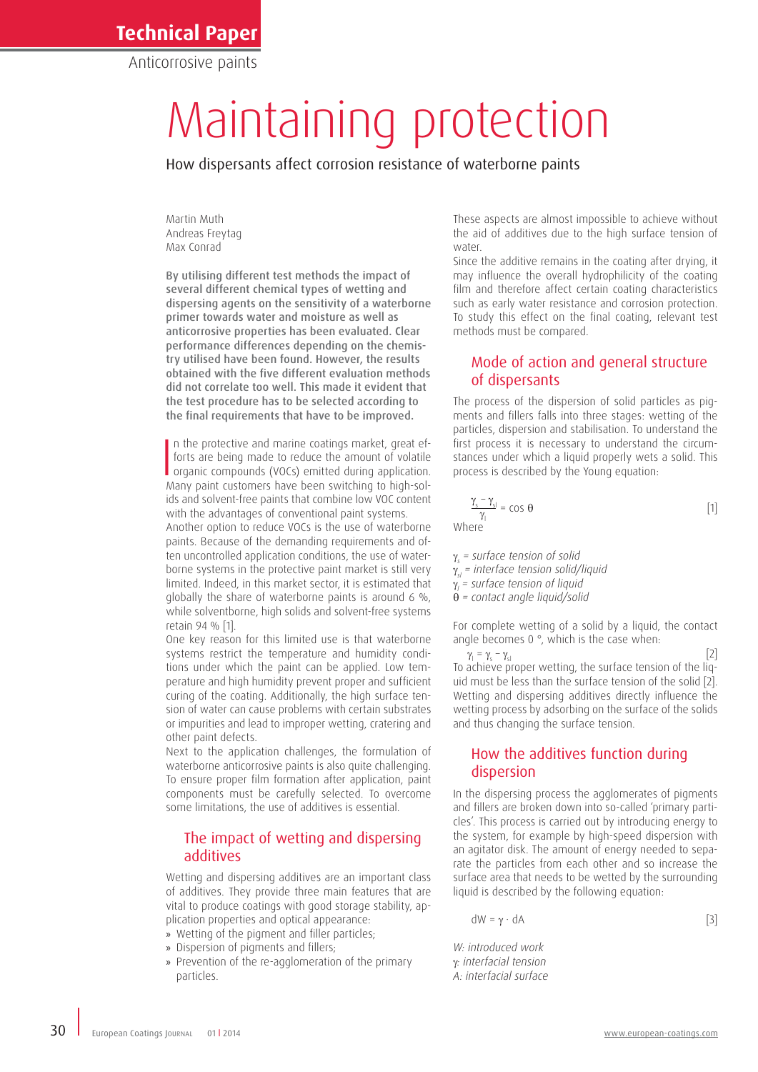## **Technical Paper**

Anticorrosive paints

# Maintaining protection

How dispersants affect corrosion resistance of waterborne paints

Martin Muth Andreas Freytag Max Conrad

By utilising different test methods the impact of several different chemical types of wetting and dispersing agents on the sensitivity of a waterborne primer towards water and moisture as well as anticorrosive properties has been evaluated. Clear performance differences depending on the chemistry utilised have been found. However, the results obtained with the five different evaluation methods did not correlate too well. This made it evident that the test procedure has to be selected according to the final requirements that have to be improved.

In the protective and marine coatings market, great efforts are being made to reduce the amount of volatile organic compounds (VOCs) emitted during application.<br>Many paint customers have been switching to bigh-soln the protective and marine coatings market, great efforts are being made to reduce the amount of volatile Many paint customers have been switching to high-solids and solvent-free paints that combine low VOC content with the advantages of conventional paint systems. Another option to reduce VOCs is the use of waterborne paints. Because of the demanding requirements and often uncontrolled application conditions, the use of waterborne systems in the protective paint market is still very limited. Indeed, in this market sector, it is estimated that globally the share of waterborne paints is around 6 %, while solventborne, high solids and solvent-free systems retain 94 % [1].

One key reason for this limited use is that waterborne systems restrict the temperature and humidity conditions under which the paint can be applied. Low temperature and high humidity prevent proper and sufficient curing of the coating. Additionally, the high surface tension of water can cause problems with certain substrates or impurities and lead to improper wetting, cratering and other paint defects.

Next to the application challenges, the formulation of waterborne anticorrosive paints is also quite challenging. To ensure proper film formation after application, paint components must be carefully selected. To overcome some limitations, the use of additives is essential.

#### The impact of wetting and dispersing additives

Wetting and dispersing additives are an important class of additives. They provide three main features that are vital to produce coatings with good storage stability, application properties and optical appearance:

- » Wetting of the pigment and filler particles;
- » Dispersion of pigments and fillers;
- » Prevention of the re-agglomeration of the primary particles.

These aspects are almost impossible to achieve without the aid of additives due to the high surface tension of water.

Since the additive remains in the coating after drying, it may influence the overall hydrophilicity of the coating film and therefore affect certain coating characteristics such as early water resistance and corrosion protection. To study this effect on the final coating, relevant test methods must be compared.

#### Mode of action and general structure of dispersants

The process of the dispersion of solid particles as pigments and fillers falls into three stages: wetting of the particles, dispersion and stabilisation. To understand the first process it is necessary to understand the circumstances under which a liquid properly wets a solid. This process is described by the Young equation:

$$
\frac{\gamma_s - \gamma_{sl}}{\gamma_l} = \cos \theta \tag{1}
$$

γ*s = surface tension of solid* γ*sl = interface tension solid/liquid* γ*l = surface tension of liquid* θ *= contact angle liquid/solid*

For complete wetting of a solid by a liquid, the contact angle becomes 0 °, which is the case when:

 $\gamma_1 = \gamma_s$  $-\gamma_{\rm sl}$  [2] To achieve proper wetting, the surface tension of the liquid must be less than the surface tension of the solid [2]. Wetting and dispersing additives directly influence the wetting process by adsorbing on the surface of the solids and thus changing the surface tension.

#### How the additives function during dispersion

In the dispersing process the agglomerates of pigments and fillers are broken down into so-called 'primary particles'. This process is carried out by introducing energy to the system, for example by high-speed dispersion with an agitator disk. The amount of energy needed to separate the particles from each other and so increase the surface area that needs to be wetted by the surrounding liquid is described by the following equation:

$$
dW = \gamma \cdot dA \tag{3}
$$

*W: introduced work* g*: interfacial tension A: interfacial surface*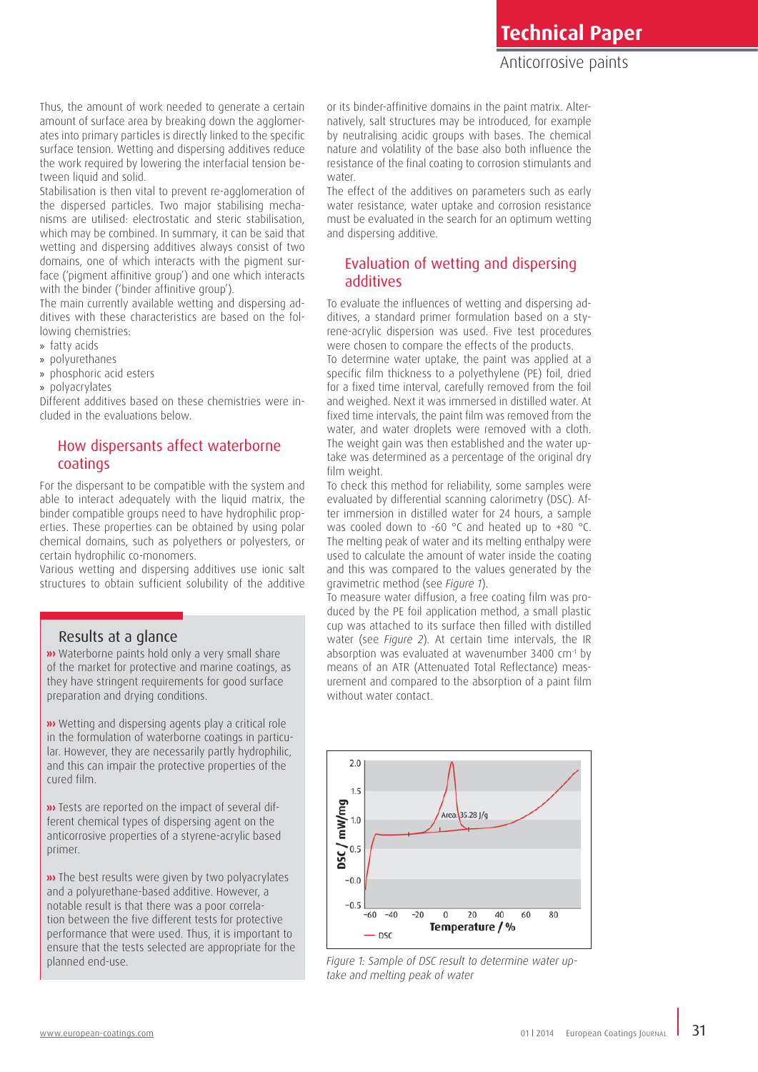Thus, the amount of work needed to generate a certain amount of surface area by breaking down the agglomerates into primary particles is directly linked to the specific surface tension. Wetting and dispersing additives reduce the work required by lowering the interfacial tension between liquid and solid.

Stabilisation is then vital to prevent re-agglomeration of the dispersed particles. Two major stabilising mechanisms are utilised: electrostatic and steric stabilisation, which may be combined. In summary, it can be said that wetting and dispersing additives always consist of two domains, one of which interacts with the pigment surface ('pigment affinitive group') and one which interacts with the binder ('binder affinitive group').

The main currently available wetting and dispersing additives with these characteristics are based on the following chemistries:

- » fatty acids
- » polyurethanes
- » phosphoric acid esters
- » polyacrylates

Different additives based on these chemistries were included in the evaluations below.

## How dispersants affect waterborne coatings

For the dispersant to be compatible with the system and able to interact adequately with the liquid matrix, the binder compatible groups need to have hydrophilic properties. These properties can be obtained by using polar chemical domains, such as polyethers or polyesters, or certain hydrophilic co-monomers.

Various wetting and dispersing additives use ionic salt structures to obtain sufficient solubility of the additive

#### Results at a glance

**w** Waterborne paints hold only a very small share of the market for protective and marine coatings, as they have stringent requirements for good surface preparation and drying conditions.

**w** Wetting and dispersing agents play a critical role in the formulation of waterborne coatings in particular. However, they are necessarily partly hydrophilic, and this can impair the protective properties of the cured film.

**»** Tests are reported on the impact of several different chemical types of dispersing agent on the anticorrosive properties of a styrene-acrylic based primer.

**»** The best results were given by two polyacrylates and a polyurethane-based additive. However, a notable result is that there was a poor correlation between the five different tests for protective performance that were used. Thus, it is important to ensure that the tests selected are appropriate for the planned end-use.

or its binder-affinitive domains in the paint matrix. Alternatively, salt structures may be introduced, for example by neutralising acidic groups with bases. The chemical nature and volatility of the base also both influence the resistance of the final coating to corrosion stimulants and water

The effect of the additives on parameters such as early water resistance, water uptake and corrosion resistance must be evaluated in the search for an optimum wetting and dispersing additive.

#### Evaluation of wetting and dispersing additives

To evaluate the influences of wetting and dispersing additives, a standard primer formulation based on a styrene-acrylic dispersion was used. Five test procedures were chosen to compare the effects of the products.

To determine water uptake, the paint was applied at a specific film thickness to a polyethylene (PE) foil, dried for a fixed time interval, carefully removed from the foil and weighed. Next it was immersed in distilled water. At fixed time intervals, the paint film was removed from the water, and water droplets were removed with a cloth. The weight gain was then established and the water uptake was determined as a percentage of the original dry film weight.

To check this method for reliability, some samples were evaluated by differential scanning calorimetry (DSC). After immersion in distilled water for 24 hours, a sample was cooled down to -60 °C and heated up to +80 °C. The melting peak of water and its melting enthalpy were used to calculate the amount of water inside the coating and this was compared to the values generated by the gravimetric method (see *Figure 1*).

To measure water diffusion, a free coating film was produced by the PE foil application method, a small plastic cup was attached to its surface then filled with distilled water (see *Figure 2*). At certain time intervals, the IR absorption was evaluated at wavenumber 3400 cm<sup>-1</sup> by means of an ATR (Attenuated Total Reflectance) measurement and compared to the absorption of a paint film without water contact.



*Figure 1: Sample of DSC result to determine water uptake and melting peak of water*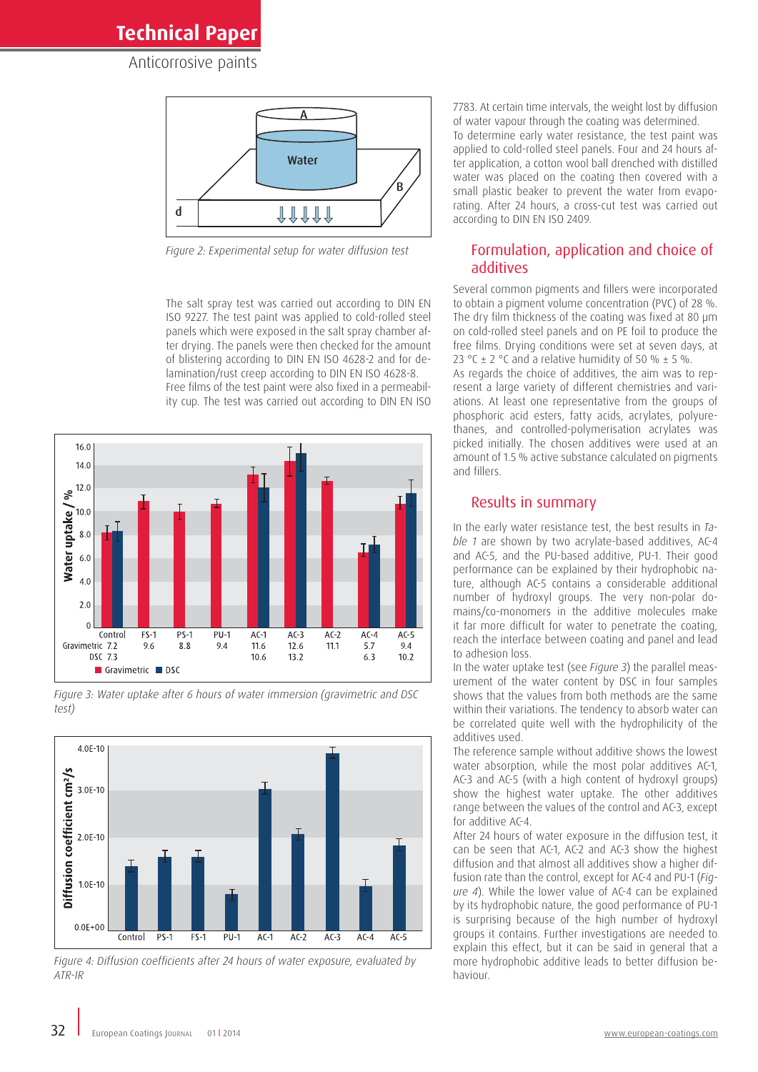**Technical Paper**

Anticorrosive paints



*Figure 2: Experimental setup for water diffusion test*

The salt spray test was carried out according to DIN EN ISO 9227. The test paint was applied to cold-rolled steel panels which were exposed in the salt spray chamber after drying. The panels were then checked for the amount of blistering according to DIN EN ISO 4628-2 and for delamination/rust creep according to DIN EN ISO 4628-8. Free films of the test paint were also fixed in a permeability cup. The test was carried out according to DIN EN ISO



*Figure 3: Water uptake after 6 hours of water immersion (gravimetric and DSC test)*



*Figure 4: Diffusion coefficients after 24 hours of water exposure, evaluated by ATR-IR*

7783. At certain time intervals, the weight lost by diffusion of water vapour through the coating was determined. To determine early water resistance, the test paint was applied to cold-rolled steel panels. Four and 24 hours after application, a cotton wool ball drenched with distilled water was placed on the coating then covered with a small plastic beaker to prevent the water from evaporating. After 24 hours, a cross-cut test was carried out according to DIN EN ISO 2409.

#### Formulation, application and choice of additives

Several common pigments and fillers were incorporated to obtain a pigment volume concentration (PVC) of 28 %. The dry film thickness of the coating was fixed at 80 µm on cold-rolled steel panels and on PE foil to produce the free films. Drying conditions were set at seven days, at 23 °C  $\pm$  2 °C and a relative humidity of 50 %  $\pm$  5 %.

As regards the choice of additives, the aim was to represent a large variety of different chemistries and variations. At least one representative from the groups of phosphoric acid esters, fatty acids, acrylates, polyurethanes, and controlled-polymerisation acrylates was picked initially. The chosen additives were used at an amount of 1.5 % active substance calculated on pigments and fillers.

#### Results in summary

In the early water resistance test, the best results in *Table 1* are shown by two acrylate-based additives, AC-4 and AC-5, and the PU-based additive, PU-1. Their good performance can be explained by their hydrophobic nature, although AC-5 contains a considerable additional number of hydroxyl groups. The very non-polar domains/co-monomers in the additive molecules make it far more difficult for water to penetrate the coating, reach the interface between coating and panel and lead to adhesion loss.

In the water uptake test (see *Figure 3*) the parallel measurement of the water content by DSC in four samples shows that the values from both methods are the same within their variations. The tendency to absorb water can be correlated quite well with the hydrophilicity of the additives used.

The reference sample without additive shows the lowest water absorption, while the most polar additives AC-1, AC-3 and AC-5 (with a high content of hydroxyl groups) show the highest water uptake. The other additives range between the values of the control and AC-3, except for additive AC-4.

After 24 hours of water exposure in the diffusion test, it can be seen that AC-1, AC-2 and AC-3 show the highest diffusion and that almost all additives show a higher diffusion rate than the control, except for AC-4 and PU-1 (*Figure 4*). While the lower value of AC-4 can be explained by its hydrophobic nature, the good performance of PU-1 is surprising because of the high number of hydroxyl groups it contains. Further investigations are needed to explain this effect, but it can be said in general that a more hydrophobic additive leads to better diffusion behaviour.